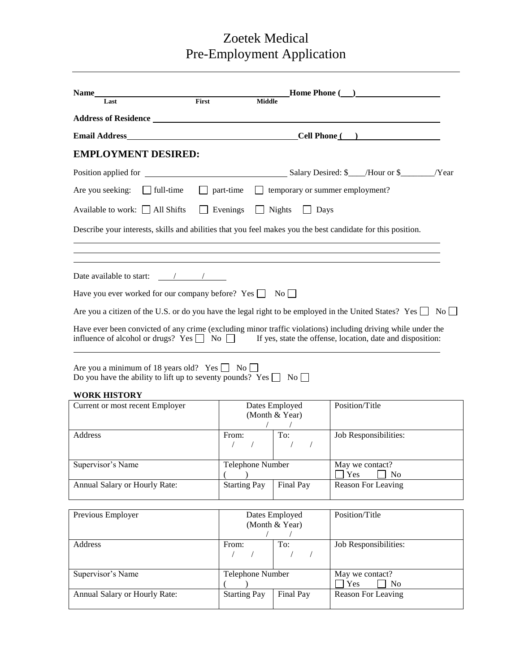# Zoetek Medical Pre-Employment Application

| Name                                                                                                                                  |                                 |                                  |                                 |                                                                                                                                                                                                                                |  |  |  |
|---------------------------------------------------------------------------------------------------------------------------------------|---------------------------------|----------------------------------|---------------------------------|--------------------------------------------------------------------------------------------------------------------------------------------------------------------------------------------------------------------------------|--|--|--|
| Last                                                                                                                                  | First                           | <b>Middle</b>                    |                                 |                                                                                                                                                                                                                                |  |  |  |
|                                                                                                                                       |                                 |                                  |                                 |                                                                                                                                                                                                                                |  |  |  |
| <b>Email Address</b>                                                                                                                  | <b>Cell Phone</b> (Cell Phone ) |                                  |                                 |                                                                                                                                                                                                                                |  |  |  |
| <b>EMPLOYMENT DESIRED:</b>                                                                                                            |                                 |                                  |                                 |                                                                                                                                                                                                                                |  |  |  |
|                                                                                                                                       |                                 |                                  |                                 |                                                                                                                                                                                                                                |  |  |  |
| Are you seeking: $\Box$ full-time                                                                                                     | part-time                       |                                  |                                 | $\Box$ temporary or summer employment?                                                                                                                                                                                         |  |  |  |
| Available to work: All Shifts                                                                                                         | Evenings                        |                                  | <b>Nights</b><br>$\Box$ Days    |                                                                                                                                                                                                                                |  |  |  |
| Describe your interests, skills and abilities that you feel makes you the best candidate for this position.                           |                                 |                                  |                                 |                                                                                                                                                                                                                                |  |  |  |
|                                                                                                                                       |                                 |                                  |                                 |                                                                                                                                                                                                                                |  |  |  |
| Date available to start: $\frac{\ }{\ }$                                                                                              |                                 |                                  |                                 |                                                                                                                                                                                                                                |  |  |  |
| Have you ever worked for our company before? Yes $\Box$ No $\Box$                                                                     |                                 |                                  |                                 |                                                                                                                                                                                                                                |  |  |  |
|                                                                                                                                       |                                 |                                  |                                 | Are you a citizen of the U.S. or do you have the legal right to be employed in the United States? Yes $\Box$ No $\Box$                                                                                                         |  |  |  |
|                                                                                                                                       |                                 |                                  |                                 | Have ever been convicted of any crime (excluding minor traffic violations) including driving while under the<br>influence of alcohol or drugs? Yes $\Box$ No $\Box$ If yes, state the offense, location, date and disposition: |  |  |  |
| Are you a minimum of 18 years old? Yes $\Box$ No $\Box$<br>Do you have the ability to lift up to seventy pounds? Yes $\Box$ No $\Box$ |                                 |                                  |                                 |                                                                                                                                                                                                                                |  |  |  |
| <b>WORK HISTORY</b>                                                                                                                   |                                 |                                  |                                 |                                                                                                                                                                                                                                |  |  |  |
| Current or most recent Employer                                                                                                       |                                 | Dates Employed<br>(Month & Year) |                                 | Position/Title                                                                                                                                                                                                                 |  |  |  |
| Address                                                                                                                               | From:<br>$\sqrt{2}$             |                                  | To:<br>$\sqrt{2}$               | Job Responsibilities:                                                                                                                                                                                                          |  |  |  |
| Supervisor's Name                                                                                                                     |                                 | Telephone Number                 |                                 | May we contact?<br>Yes<br>N <sub>0</sub>                                                                                                                                                                                       |  |  |  |
| Annual Salary or Hourly Rate:                                                                                                         | <b>Starting Pay</b>             |                                  | Final Pay                       | Reason For Leaving                                                                                                                                                                                                             |  |  |  |
|                                                                                                                                       |                                 |                                  |                                 |                                                                                                                                                                                                                                |  |  |  |
| Previous Employer                                                                                                                     |                                 | Dates Employed<br>(Month & Year) |                                 | Position/Title                                                                                                                                                                                                                 |  |  |  |
| Address                                                                                                                               | From:<br>$\sqrt{2}$             |                                  | To:<br>$\sqrt{2}$<br>$\sqrt{2}$ | Job Responsibilities:                                                                                                                                                                                                          |  |  |  |
| Supervisor's Name                                                                                                                     |                                 | Telephone Number                 |                                 | May we contact?<br>Yes<br>N <sub>o</sub>                                                                                                                                                                                       |  |  |  |
| Annual Salary or Hourly Rate:                                                                                                         | <b>Starting Pay</b>             |                                  | Final Pay                       | Reason For Leaving                                                                                                                                                                                                             |  |  |  |